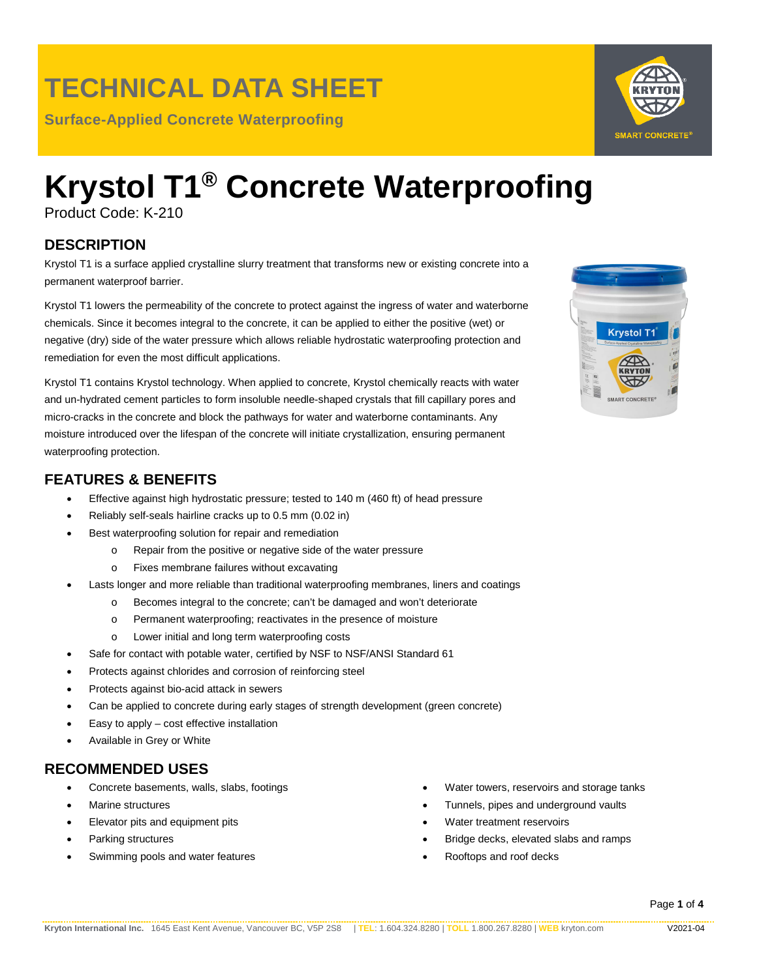### **TECHNICAL DATA SHEET**

**Surface-Applied Concrete Waterproofing**

# **Krystol T1® Concrete Waterproofing**

Product Code: K-210

### **DESCRIPTION**

Krystol T1 is a surface applied crystalline slurry treatment that transforms new or existing concrete into a permanent waterproof barrier.

Krystol T1 lowers the permeability of the concrete to protect against the ingress of water and waterborne chemicals. Since it becomes integral to the concrete, it can be applied to either the positive (wet) or negative (dry) side of the water pressure which allows reliable hydrostatic waterproofing protection and remediation for even the most difficult applications.

Krystol T1 contains Krystol technology. When applied to concrete, Krystol chemically reacts with water and un-hydrated cement particles to form insoluble needle-shaped crystals that fill capillary pores and micro-cracks in the concrete and block the pathways for water and waterborne contaminants. Any moisture introduced over the lifespan of the concrete will initiate crystallization, ensuring permanent waterproofing protection.

#### **FEATURES & BENEFITS**

- Effective against high hydrostatic pressure; tested to 140 m (460 ft) of head pressure
- Reliably self-seals hairline cracks up to 0.5 mm (0.02 in)
- Best waterproofing solution for repair and remediation
	- o Repair from the positive or negative side of the water pressure
	- o Fixes membrane failures without excavating
- Lasts longer and more reliable than traditional waterproofing membranes, liners and coatings
	- o Becomes integral to the concrete; can't be damaged and won't deteriorate
	- o Permanent waterproofing; reactivates in the presence of moisture
	- o Lower initial and long term waterproofing costs
- Safe for contact with potable water, certified by NSF to NSF/ANSI Standard 61
- Protects against chlorides and corrosion of reinforcing steel
- Protects against bio-acid attack in sewers
- Can be applied to concrete during early stages of strength development (green concrete)
- Easy to apply  $-$  cost effective installation
- Available in Grey or White

#### **RECOMMENDED USES**

- Concrete basements, walls, slabs, footings
- Marine structures
- Elevator pits and equipment pits
- Parking structures
- Swimming pools and water features
- Water towers, reservoirs and storage tanks
- Tunnels, pipes and underground vaults
- Water treatment reservoirs
- Bridge decks, elevated slabs and ramps
- Rooftops and roof decks



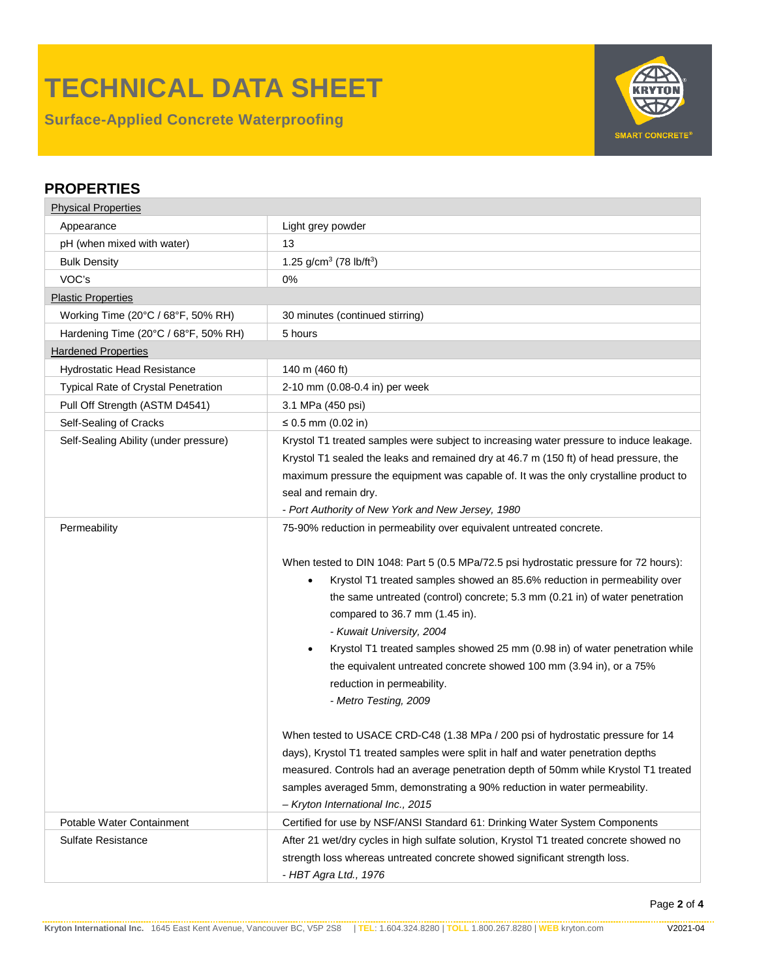# **TECHNICAL DATA SHEET**

**Surface-Applied Concrete Waterproofing**



#### **PROPERTIES**

| <b>Physical Properties</b>            |                                                                                                                                                                                                                                                                                                                                                                                                                                                                                                                                                                                                                                                                                                                                                                                                                                                                                                                    |  |  |  |  |
|---------------------------------------|--------------------------------------------------------------------------------------------------------------------------------------------------------------------------------------------------------------------------------------------------------------------------------------------------------------------------------------------------------------------------------------------------------------------------------------------------------------------------------------------------------------------------------------------------------------------------------------------------------------------------------------------------------------------------------------------------------------------------------------------------------------------------------------------------------------------------------------------------------------------------------------------------------------------|--|--|--|--|
| Appearance                            | Light grey powder                                                                                                                                                                                                                                                                                                                                                                                                                                                                                                                                                                                                                                                                                                                                                                                                                                                                                                  |  |  |  |  |
| pH (when mixed with water)            | 13                                                                                                                                                                                                                                                                                                                                                                                                                                                                                                                                                                                                                                                                                                                                                                                                                                                                                                                 |  |  |  |  |
| <b>Bulk Density</b>                   | 1.25 g/cm <sup>3</sup> (78 lb/ft <sup>3</sup> )                                                                                                                                                                                                                                                                                                                                                                                                                                                                                                                                                                                                                                                                                                                                                                                                                                                                    |  |  |  |  |
| VOC's                                 | 0%                                                                                                                                                                                                                                                                                                                                                                                                                                                                                                                                                                                                                                                                                                                                                                                                                                                                                                                 |  |  |  |  |
| <b>Plastic Properties</b>             |                                                                                                                                                                                                                                                                                                                                                                                                                                                                                                                                                                                                                                                                                                                                                                                                                                                                                                                    |  |  |  |  |
| Working Time (20°C / 68°F, 50% RH)    | 30 minutes (continued stirring)                                                                                                                                                                                                                                                                                                                                                                                                                                                                                                                                                                                                                                                                                                                                                                                                                                                                                    |  |  |  |  |
| Hardening Time (20°C / 68°F, 50% RH)  | 5 hours                                                                                                                                                                                                                                                                                                                                                                                                                                                                                                                                                                                                                                                                                                                                                                                                                                                                                                            |  |  |  |  |
| <b>Hardened Properties</b>            |                                                                                                                                                                                                                                                                                                                                                                                                                                                                                                                                                                                                                                                                                                                                                                                                                                                                                                                    |  |  |  |  |
| Hydrostatic Head Resistance           | 140 m (460 ft)                                                                                                                                                                                                                                                                                                                                                                                                                                                                                                                                                                                                                                                                                                                                                                                                                                                                                                     |  |  |  |  |
| Typical Rate of Crystal Penetration   | 2-10 mm (0.08-0.4 in) per week                                                                                                                                                                                                                                                                                                                                                                                                                                                                                                                                                                                                                                                                                                                                                                                                                                                                                     |  |  |  |  |
| Pull Off Strength (ASTM D4541)        | 3.1 MPa (450 psi)                                                                                                                                                                                                                                                                                                                                                                                                                                                                                                                                                                                                                                                                                                                                                                                                                                                                                                  |  |  |  |  |
| Self-Sealing of Cracks                | ≤ 0.5 mm (0.02 in)                                                                                                                                                                                                                                                                                                                                                                                                                                                                                                                                                                                                                                                                                                                                                                                                                                                                                                 |  |  |  |  |
| Self-Sealing Ability (under pressure) | Krystol T1 treated samples were subject to increasing water pressure to induce leakage.                                                                                                                                                                                                                                                                                                                                                                                                                                                                                                                                                                                                                                                                                                                                                                                                                            |  |  |  |  |
|                                       | Krystol T1 sealed the leaks and remained dry at 46.7 m (150 ft) of head pressure, the                                                                                                                                                                                                                                                                                                                                                                                                                                                                                                                                                                                                                                                                                                                                                                                                                              |  |  |  |  |
|                                       | maximum pressure the equipment was capable of. It was the only crystalline product to                                                                                                                                                                                                                                                                                                                                                                                                                                                                                                                                                                                                                                                                                                                                                                                                                              |  |  |  |  |
|                                       | seal and remain dry.                                                                                                                                                                                                                                                                                                                                                                                                                                                                                                                                                                                                                                                                                                                                                                                                                                                                                               |  |  |  |  |
|                                       | - Port Authority of New York and New Jersey, 1980                                                                                                                                                                                                                                                                                                                                                                                                                                                                                                                                                                                                                                                                                                                                                                                                                                                                  |  |  |  |  |
| Permeability                          | 75-90% reduction in permeability over equivalent untreated concrete.                                                                                                                                                                                                                                                                                                                                                                                                                                                                                                                                                                                                                                                                                                                                                                                                                                               |  |  |  |  |
|                                       | When tested to DIN 1048: Part 5 (0.5 MPa/72.5 psi hydrostatic pressure for 72 hours):<br>Krystol T1 treated samples showed an 85.6% reduction in permeability over<br>the same untreated (control) concrete; 5.3 mm (0.21 in) of water penetration<br>compared to 36.7 mm (1.45 in).<br>- Kuwait University, 2004<br>Krystol T1 treated samples showed 25 mm (0.98 in) of water penetration while<br>the equivalent untreated concrete showed 100 mm (3.94 in), or a 75%<br>reduction in permeability.<br>- Metro Testing, 2009<br>When tested to USACE CRD-C48 (1.38 MPa / 200 psi of hydrostatic pressure for 14<br>days), Krystol T1 treated samples were split in half and water penetration depths<br>measured. Controls had an average penetration depth of 50mm while Krystol T1 treated<br>samples averaged 5mm, demonstrating a 90% reduction in water permeability.<br>- Kryton International Inc., 2015 |  |  |  |  |
| Potable Water Containment             | Certified for use by NSF/ANSI Standard 61: Drinking Water System Components                                                                                                                                                                                                                                                                                                                                                                                                                                                                                                                                                                                                                                                                                                                                                                                                                                        |  |  |  |  |
| Sulfate Resistance                    | After 21 wet/dry cycles in high sulfate solution, Krystol T1 treated concrete showed no<br>strength loss whereas untreated concrete showed significant strength loss.<br>- HBT Agra Ltd., 1976                                                                                                                                                                                                                                                                                                                                                                                                                                                                                                                                                                                                                                                                                                                     |  |  |  |  |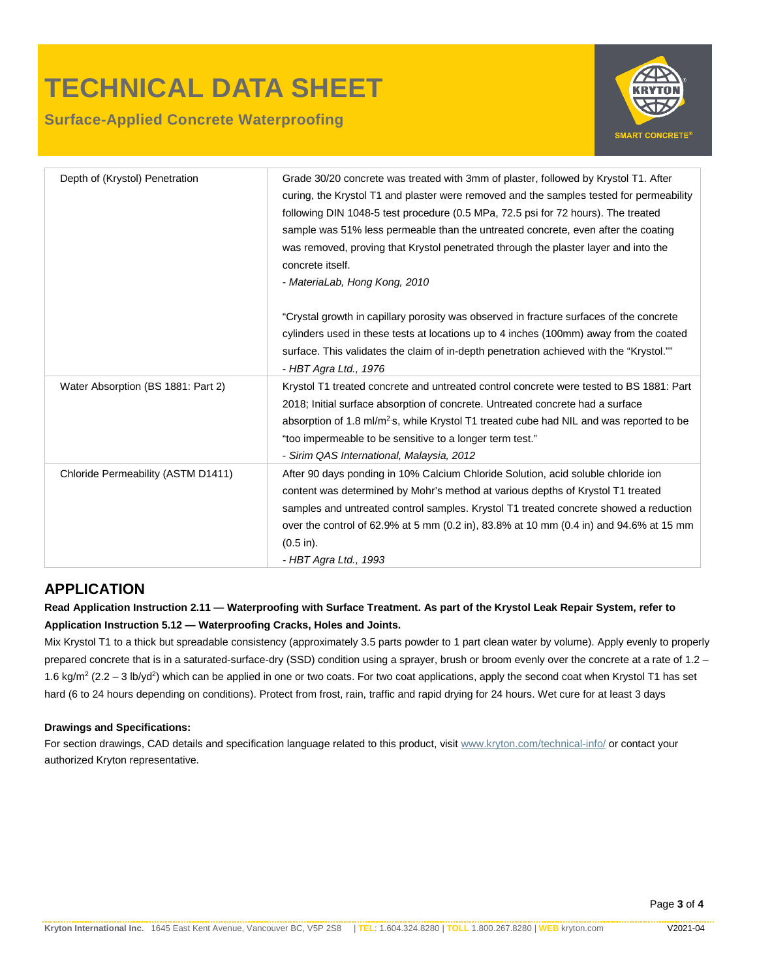## **TECHNICAL DATA SHEET**

#### **Surface-Applied Concrete Waterproofing**



| Depth of (Krystol) Penetration     | Grade 30/20 concrete was treated with 3mm of plaster, followed by Krystol T1. After<br>curing, the Krystol T1 and plaster were removed and the samples tested for permeability<br>following DIN 1048-5 test procedure (0.5 MPa, 72.5 psi for 72 hours). The treated<br>sample was 51% less permeable than the untreated concrete, even after the coating<br>was removed, proving that Krystol penetrated through the plaster layer and into the<br>concrete itself.<br>- MateriaLab, Hong Kong, 2010 |
|------------------------------------|------------------------------------------------------------------------------------------------------------------------------------------------------------------------------------------------------------------------------------------------------------------------------------------------------------------------------------------------------------------------------------------------------------------------------------------------------------------------------------------------------|
|                                    | "Crystal growth in capillary porosity was observed in fracture surfaces of the concrete<br>cylinders used in these tests at locations up to 4 inches (100mm) away from the coated<br>surface. This validates the claim of in-depth penetration achieved with the "Krystol.""<br>- HBT Agra Ltd., 1976                                                                                                                                                                                                |
| Water Absorption (BS 1881: Part 2) | Krystol T1 treated concrete and untreated control concrete were tested to BS 1881: Part<br>2018; Initial surface absorption of concrete. Untreated concrete had a surface<br>absorption of 1.8 ml/m <sup>2</sup> s, while Krystol T1 treated cube had NIL and was reported to be<br>"too impermeable to be sensitive to a longer term test."<br>- Sirim QAS International, Malaysia, 2012                                                                                                            |
| Chloride Permeability (ASTM D1411) | After 90 days ponding in 10% Calcium Chloride Solution, acid soluble chloride ion<br>content was determined by Mohr's method at various depths of Krystol T1 treated<br>samples and untreated control samples. Krystol T1 treated concrete showed a reduction<br>over the control of 62.9% at 5 mm (0.2 in), 83.8% at 10 mm (0.4 in) and 94.6% at 15 mm<br>$(0.5 \text{ in}).$<br>- HBT Agra Ltd., 1993                                                                                              |

#### **APPLICATION**

**Read Application Instruction 2.11 — Waterproofing with Surface Treatment. As part of the Krystol Leak Repair System, refer to Application Instruction 5.12 — Waterproofing Cracks, Holes and Joints.** 

Mix Krystol T1 to a thick but spreadable consistency (approximately 3.5 parts powder to 1 part clean water by volume). Apply evenly to properly prepared concrete that is in a saturated-surface-dry (SSD) condition using a sprayer, brush or broom evenly over the concrete at a rate of 1.2 – 1.6 kg/m<sup>2</sup> (2.2 – 3 lb/yd<sup>2</sup>) which can be applied in one or two coats. For two coat applications, apply the second coat when Krystol T1 has set hard (6 to 24 hours depending on conditions). Protect from frost, rain, traffic and rapid drying for 24 hours. Wet cure for at least 3 days

#### **Drawings and Specifications:**

For section drawings, CAD details and specification language related to this product, visit [www.kryton.com/technical-info/](http://www.kryton.com/technical-info/) or contact your authorized Kryton representative.